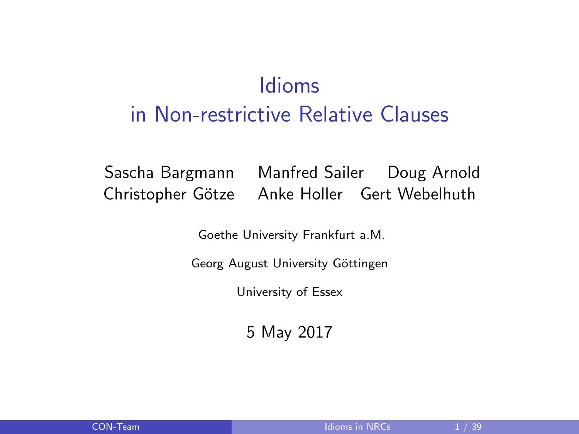# <span id="page-0-0"></span>Idioms in Non-restrictive Relative Clauses

Sascha Bargmann Manfred Sailer Doug Arnold Christopher Götze Anke Holler Gert Webelhuth

Goethe University Frankfurt a.M.

Georg August University Göttingen

University of Essex

5 May 2017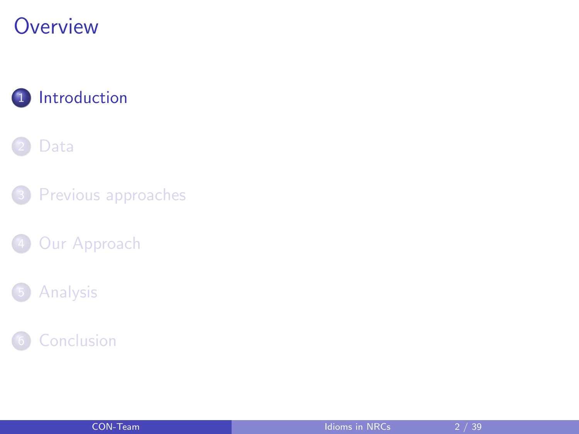## <span id="page-1-0"></span>**Overview**



#### [Data](#page-4-0)

3 [Previous approaches](#page-10-0)

4 [Our Approach](#page-16-0)

#### **[Analysis](#page-20-0)**



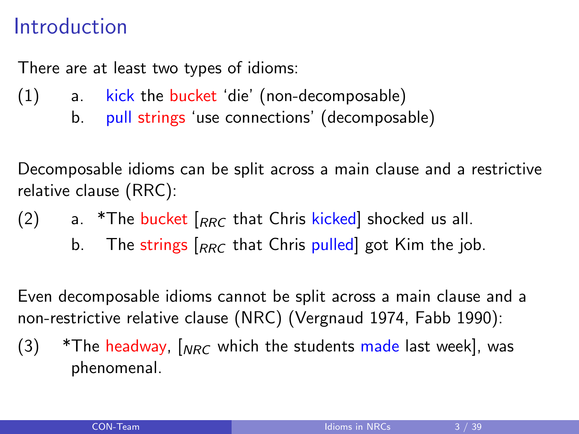## Introduction

There are at least two types of idioms:

- (1) a. kick the bucket 'die' (non-decomposable)
	- b. pull strings 'use connections' (decomposable)

Decomposable idioms can be split across a main clause and a restrictive relative clause (RRC):

- (2) a. \*The bucket  $\left|_{RRC}$  that Chris kicked shocked us all.
	- b. The strings  $\left|_{RRC}$  that Chris pulled got Kim the job.

Even decomposable idioms cannot be split across a main clause and a non-restrictive relative clause (NRC) (Vergnaud 1974, Fabb 1990):

 $(3)$  \*The headway,  $\int_{NRC}$  which the students made last week], was phenomenal.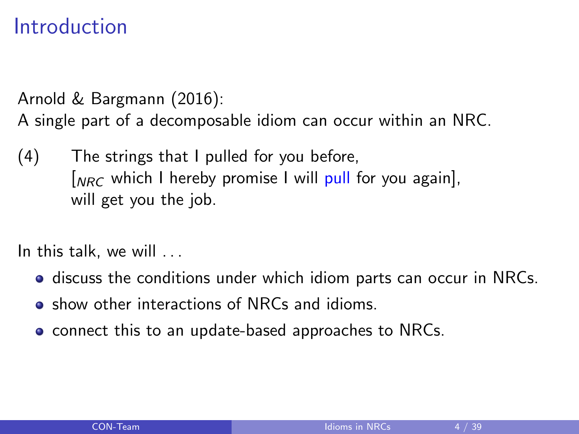## Introduction

Arnold & Bargmann (2016):

A single part of a decomposable idiom can occur within an NRC.

(4) The strings that I pulled for you before,  $\int_{NRC}$  which I hereby promise I will pull for you again]. will get you the job.

In this talk, we will . . .

- **•** discuss the conditions under which idiom parts can occur in NRCs.
- **•** show other interactions of NRCs and idioms.
- connect this to an update-based approaches to NRCs.

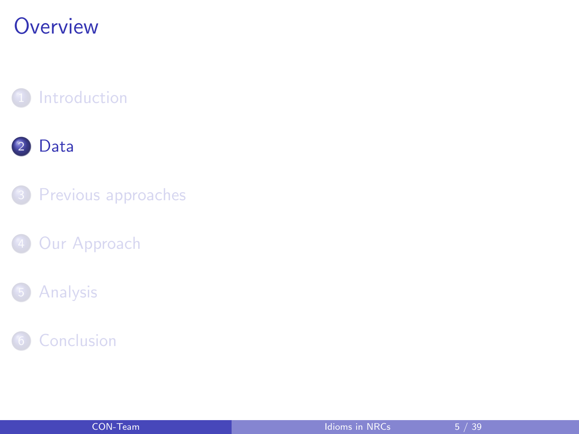## <span id="page-4-0"></span>**Overview**







[Our Approach](#page-16-0)





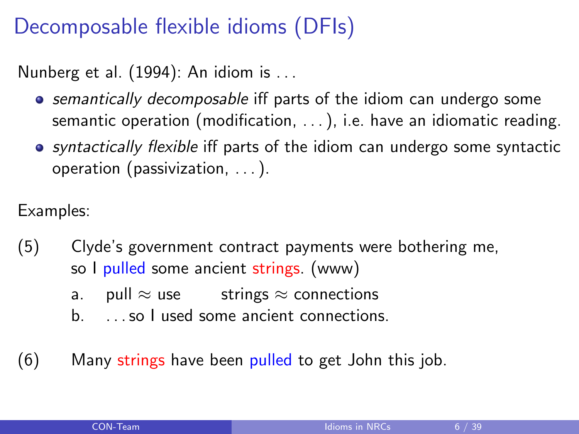# Decomposable flexible idioms (DFIs)

Nunberg et al. (1994): An idiom is . . .

- **•** semantically decomposable iff parts of the idiom can undergo some semantic operation (modification, . . . ), i.e. have an idiomatic reading.
- syntactically flexible iff parts of the idiom can undergo some syntactic operation (passivization, . . . ).

Examples:

- (5) Clyde's government contract payments were bothering me, so I pulled some ancient strings. (www)
	- a. pull  $\approx$  use strings  $\approx$  connections
	- b. . . . so I used some ancient connections.
- $(6)$  Many strings have been pulled to get John this job.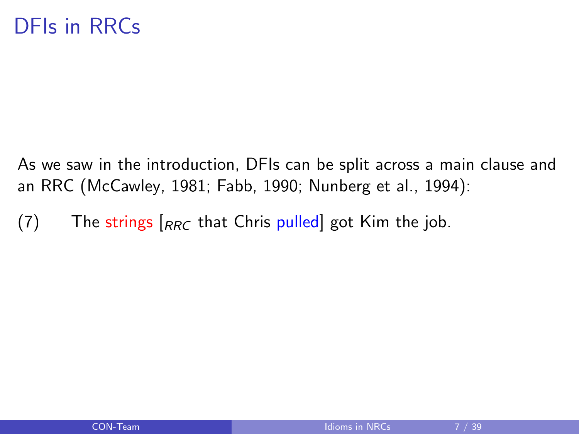As we saw in the introduction, DFIs can be split across a main clause and an RRC (McCawley, 1981; Fabb, 1990; Nunberg et al., 1994):

(7) The strings  $\begin{bmatrix} RRC \end{bmatrix}$  that Chris pulled got Kim the job.

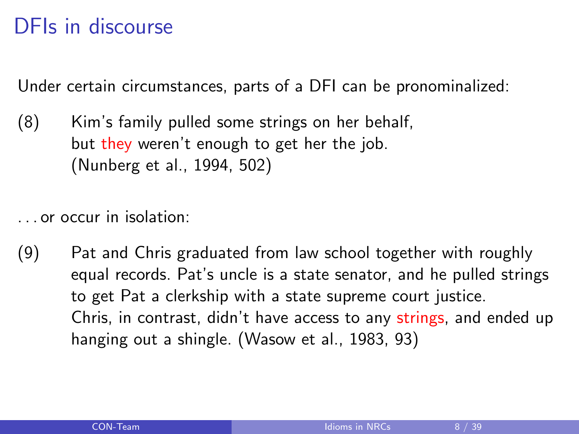# DFIs in discourse

Under certain circumstances, parts of a DFI can be pronominalized:

(8) Kim's family pulled some strings on her behalf, but they weren't enough to get her the job. (Nunberg et al., 1994, 502)

. . . or occur in isolation:

(9) Pat and Chris graduated from law school together with roughly equal records. Pat's uncle is a state senator, and he pulled strings to get Pat a clerkship with a state supreme court justice. Chris, in contrast, didn't have access to any strings, and ended up hanging out a shingle. (Wasow et al., 1983, 93)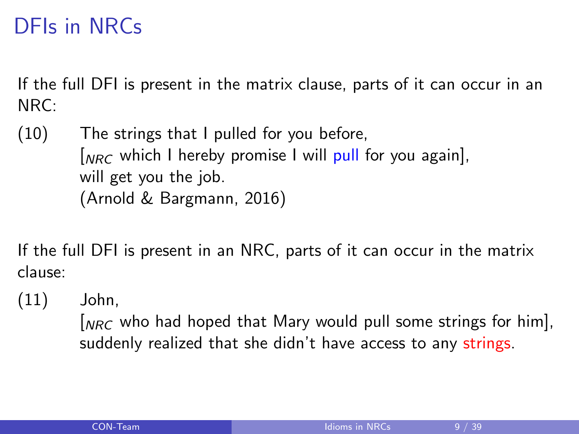# DFIs in NRCs

If the full DFI is present in the matrix clause, parts of it can occur in an NRC:

(10) The strings that I pulled for you before,  $N_{NRC}$  which I hereby promise I will pull for you again], will get you the job. (Arnold & Bargmann, 2016)

If the full DFI is present in an NRC, parts of it can occur in the matrix clause:

(11) John,

 $N_{NRC}$  who had hoped that Mary would pull some strings for him], suddenly realized that she didn't have access to any strings.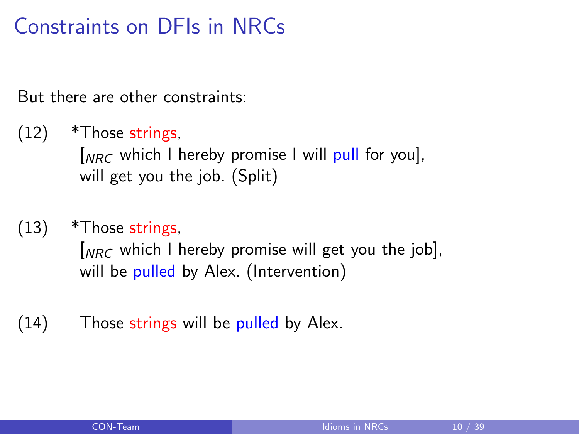# Constraints on DFIs in NRCs

But there are other constraints:

- $(12)$  \*Those strings,  $N_{NRC}$  which I hereby promise I will pull for you], will get you the job. (Split)
- (13) \*Those strings,

 $N_{NRC}$  which I hereby promise will get you the job], will be pulled by Alex. (Intervention)

 $(14)$  Those strings will be pulled by Alex.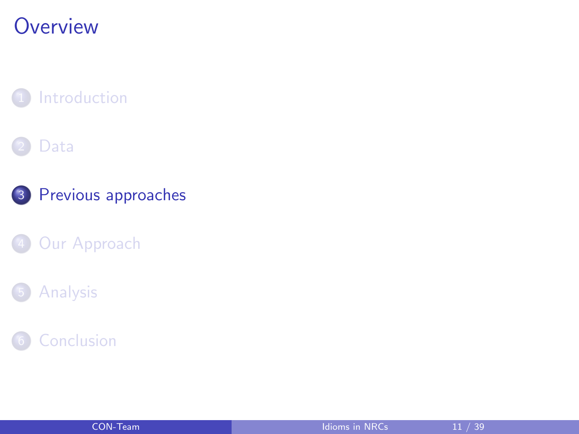## <span id="page-10-0"></span>**Overview**

#### **[Introduction](#page-1-0)**

#### [Data](#page-4-0)



#### 4 [Our Approach](#page-16-0)

#### **[Analysis](#page-20-0)**

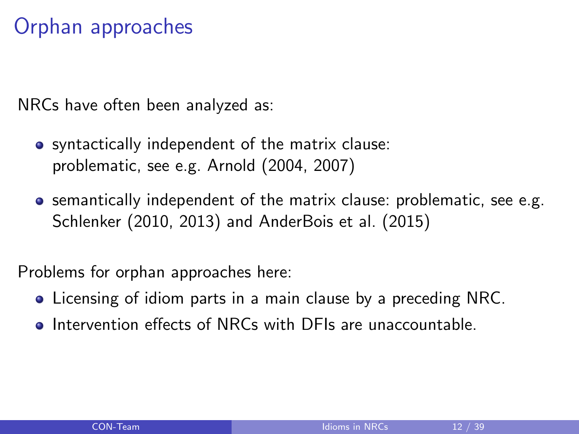# Orphan approaches

NRCs have often been analyzed as:

- syntactically independent of the matrix clause: problematic, see e.g. Arnold (2004, 2007)
- **•** semantically independent of the matrix clause: problematic, see e.g. Schlenker (2010, 2013) and AnderBois et al. (2015)

Problems for orphan approaches here:

- Licensing of idiom parts in a main clause by a preceding NRC.
- **•** Intervention effects of NRCs with DFIs are unaccountable.

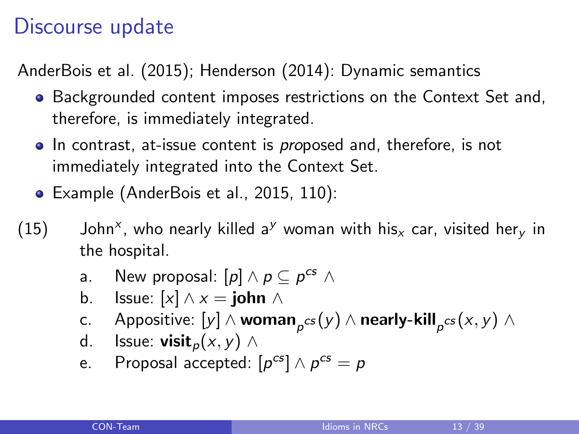## Discourse update

AnderBois et al. (2015); Henderson (2014): Dynamic semantics

- Backgrounded content imposes restrictions on the Context Set and, therefore, is immediately integrated.
- In contrast, at-issue content is proposed and, therefore, is not immediately integrated into the Context Set.
- Example (AnderBois et al., 2015, 110):
- (15) John<sup>x</sup>, who nearly killed a<sup>y</sup> woman with his<sub>x</sub> car, visited her<sub>y</sub> in the hospital.
	- a. New proposal:  $[p] \land p \subseteq p^{cs} \land p$
	- b. Issue:  $[x] \wedge x = \text{iohn } \wedge$
	- c. Appositive:  $\left[ y\right] \wedge$  woman $_{\rho}$ cs $\left( y\right) \wedge$  nearly-kill $_{\rho}$ cs $\left( x,y\right) \wedge$
	- d. Issue: **visit**<sub>n</sub> $(x, y) \wedge$
	- e. Proposal accepted:  $[p^{cs}] \wedge p^{cs} = p$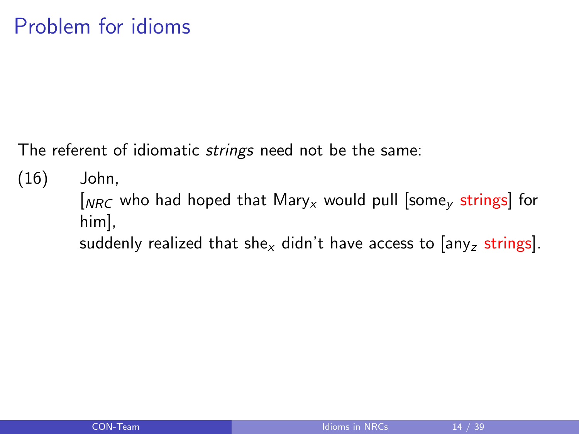The referent of idiomatic *strings* need not be the same:

(16) John,  $N_{NRC}$  who had hoped that Mary<sub>x</sub> would pull [some<sub>v</sub> strings] for him], suddenly realized that she<sub>x</sub> didn't have access to  $\left[\text{any}_z \text{ strings}\right]$ .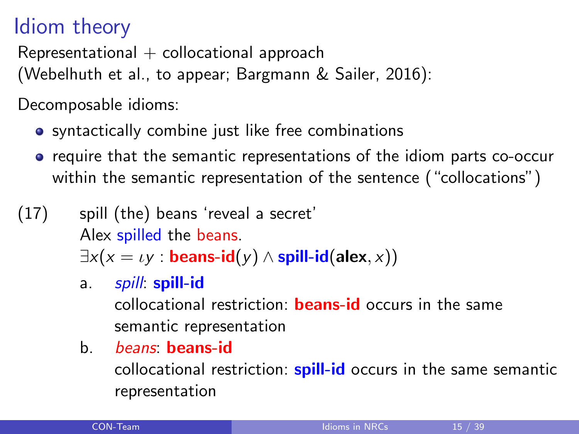# Idiom theory

Representational  $+$  collocational approach

(Webelhuth et al., to appear; Bargmann & Sailer, 2016):

Decomposable idioms:

- **•** syntactically combine just like free combinations
- require that the semantic representations of the idiom parts co-occur within the semantic representation of the sentence ("collocations")
- (17) spill (the) beans 'reveal a secret' Alex spilled the beans.  $\exists x(x = \iota y : \textbf{beans-id}(y) \land \textbf{spill-id}(\textbf{alex}, x))$ 
	- a. *spill*: **spill-id** collocational restriction: beans-id occurs in the same semantic representation
	- b. beans: beans-id

collocational restriction: **spill-id** occurs in the same semantic representation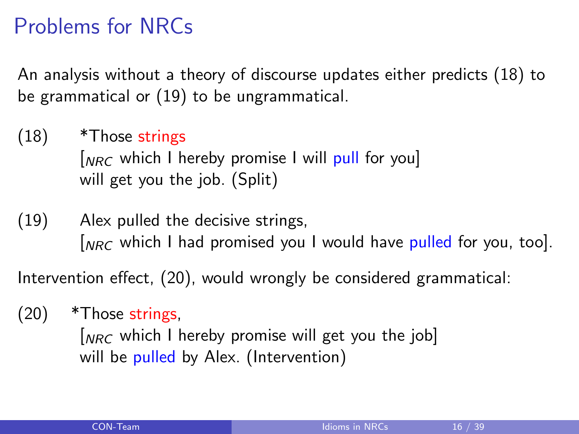# Problems for NRCs

An analysis without a theory of discourse updates either predicts [\(18\)](#page-15-0) to be grammatical or [\(19\)](#page-15-1) to be ungrammatical.

- <span id="page-15-0"></span> $(18)$  \*Those strings  $N_{NRC}$  which I hereby promise I will pull for you will get you the job. (Split)
- <span id="page-15-1"></span>(19) Alex pulled the decisive strings,  $\int_{NRC}$  which I had promised you I would have pulled for you, too].

Intervention effect, [\(20\),](#page-15-2) would wrongly be considered grammatical:

 $(20)$  \*Those strings,

<span id="page-15-2"></span> $N_{NRC}$  which I hereby promise will get you the job] will be pulled by Alex. (Intervention)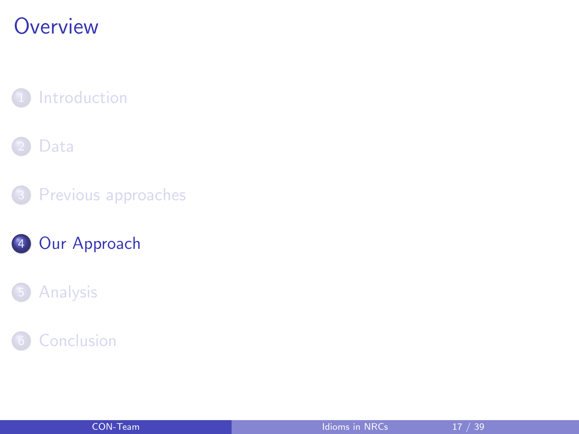# <span id="page-16-0"></span>**Overview**

**[Introduction](#page-1-0)** 

#### [Data](#page-4-0)









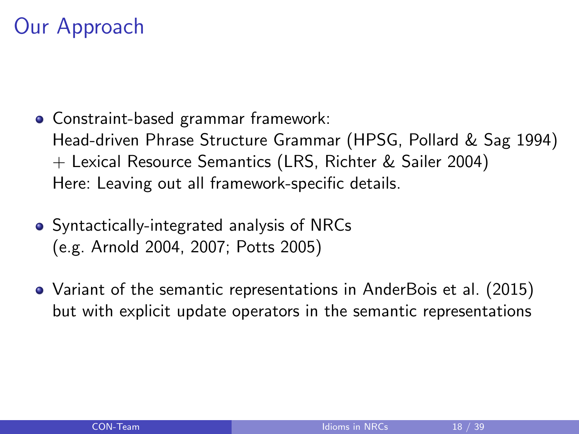# Our Approach

- Constraint-based grammar framework: Head-driven Phrase Structure Grammar (HPSG, Pollard & Sag 1994) + Lexical Resource Semantics (LRS, Richter & Sailer 2004) Here: Leaving out all framework-specific details.
- Syntactically-integrated analysis of NRCs (e.g. Arnold 2004, 2007; Potts 2005)
- Variant of the semantic representations in AnderBois et al. (2015) but with explicit update operators in the semantic representations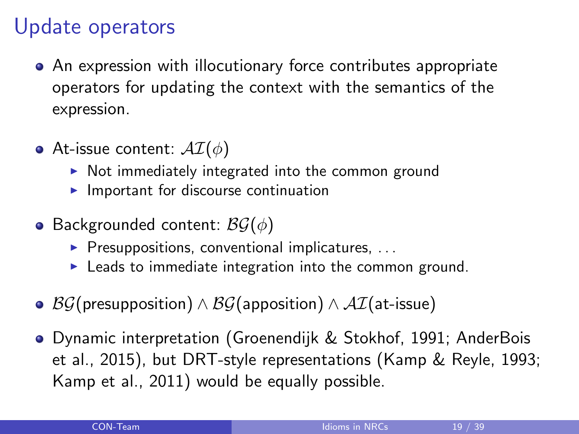## Update operators

- An expression with illocutionary force contributes appropriate operators for updating the context with the semantics of the expression.
- At-issue content:  $\mathcal{AI}(\phi)$ 
	- $\triangleright$  Not immediately integrated into the common ground
	- $\blacktriangleright$  Important for discourse continuation
- Backgrounded content:  $\mathcal{BG}(\phi)$ 
	- $\triangleright$  Presuppositions, conventional implicatures, ...
	- $\blacktriangleright$  Leads to immediate integration into the common ground.
- $\mathcal{B}\mathcal{G}$ (presupposition) ∧  $\mathcal{B}\mathcal{G}$ (apposition) ∧  $\mathcal{A}\mathcal{I}$ (at-issue)
- Dynamic interpretation (Groenendijk & Stokhof, 1991; AnderBois et al., 2015), but DRT-style representations (Kamp & Reyle, 1993; Kamp et al., 2011) would be equally possible.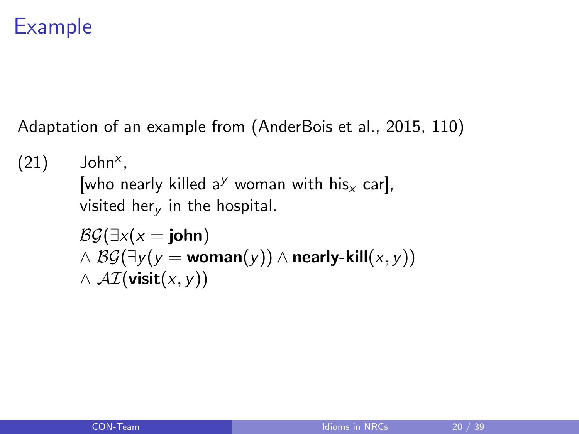# Example

Adaptation of an example from (AnderBois et al., 2015, 110)

```
(21) John<sup>x</sup>,
 [who nearly killed a<sup>y</sup> woman with his<sub>x</sub> car],
 visited her<sub>v</sub> in the hospital.
 \mathcal{B}\mathcal{G}(\exists x(x = \mathbf{iohn})\wedge BG(\exists v(v = \text{woman}(v)) \wedge \text{nearly-kill}(x, y))
 \wedge AI(visit(x, y))
```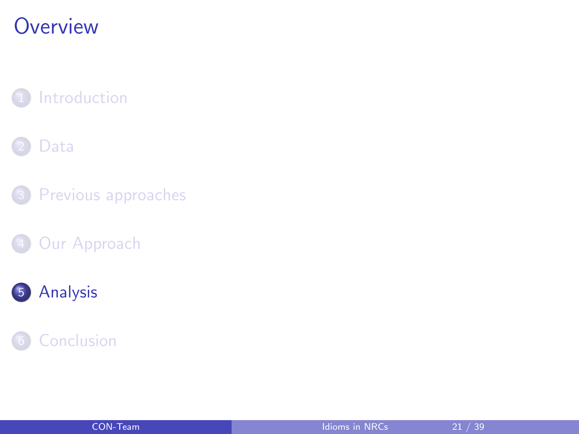# <span id="page-20-0"></span>**Overview**

**[Introduction](#page-1-0)** 

#### [Data](#page-4-0)

3 [Previous approaches](#page-10-0)

4 [Our Approach](#page-16-0)



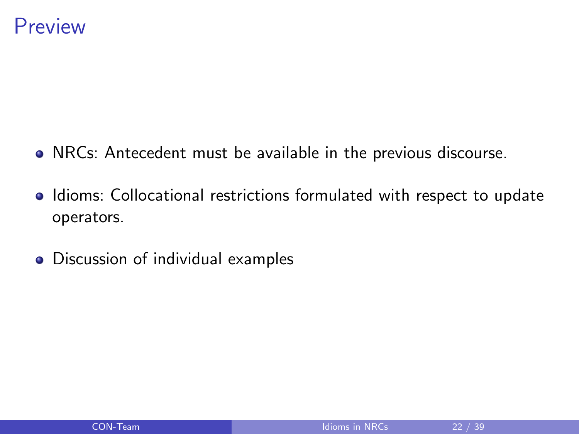- NRCs: Antecedent must be available in the previous discourse.
- Idioms: Collocational restrictions formulated with respect to update operators.
- Discussion of individual examples

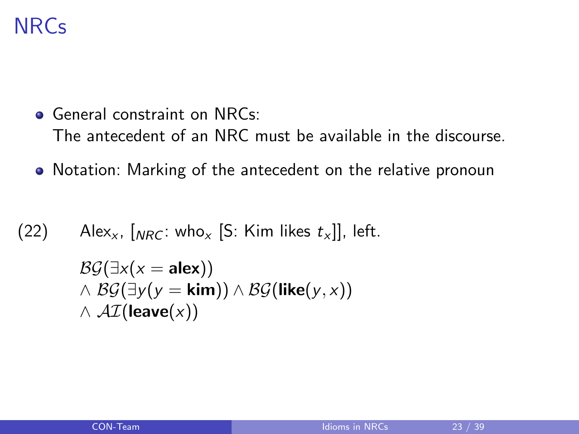# **NRCs**

- **General constraint on NRCs:** The antecedent of an NRC must be available in the discourse.
- Notation: Marking of the antecedent on the relative pronoun

(22) 
$$
\text{Alex}_x
$$
,  $\left[\text{NRC}: \text{who}_x \right]$  [S: Kim likes  $t_x$ ]], left.

$$
\mathcal{BG}(\exists x(x = \mathbf{alex})) \land \mathcal{BG}(\exists y(y = \mathbf{kim})) \land \mathcal{BG}(\mathbf{like}(y, x)) \land \mathcal{AI}(\mathbf{leave}(x))
$$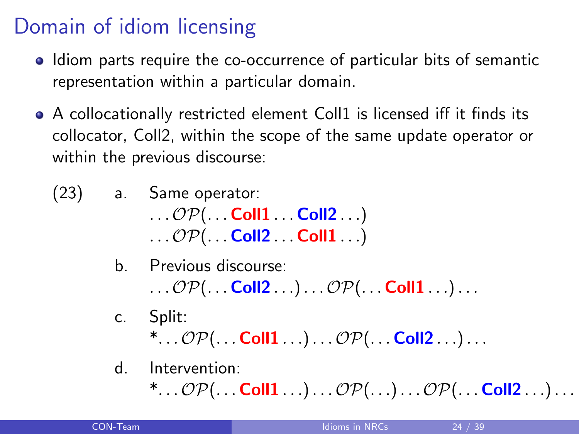# Domain of idiom licensing

- Idiom parts require the co-occurrence of particular bits of semantic representation within a particular domain.
- A collocationally restricted element Coll1 is licensed iff it finds its collocator, Coll2, within the scope of the same update operator or within the previous discourse:
	- (23) a. Same operator:  $\ldots$   $\mathcal{OP}(\ldots$  Coll1  $\ldots$  Coll2  $\ldots)$  $\ldots$   $\mathcal{OP}(\ldots$  Coll2  $\ldots$  Coll1  $\ldots)$ 
		- b. Previous discourse:  $\ldots \mathcal{OP}(\ldots$  Coll2  $\ldots) \ldots \mathcal{OP}(\ldots$  Coll1  $\ldots) \ldots$
		- c. Split:  $^*...{\mathcal{OP}}(...$  Coll $1...)...{\mathcal{OP}}(...$  Coll $2...)...$
		- d. Intervention:

\*... $\mathcal{OP}(\ldots$  Coll $1 \ldots) \ldots \mathcal{OP}(\ldots) \ldots \mathcal{OP}(\ldots$  Coll $2 \ldots) \ldots$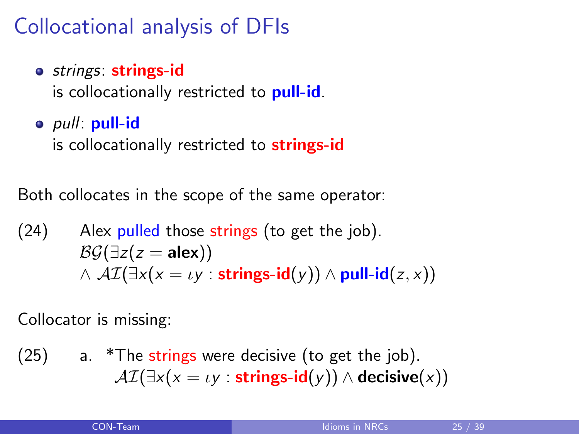# Collocational analysis of DFIs

o strings: strings-id

is collocationally restricted to **pull-id**.

o *pull*: pull-id

is collocationally restricted to **strings-id** 

Both collocates in the scope of the same operator:

(24) Alex pulled those strings (to get the job).  
\n
$$
\mathcal{BG}(\exists z(z = \mathbf{alex}))
$$
\n
$$
\land \mathcal{AI}(\exists x(x = \iota y : \mathbf{strings-id}(y)) \land \mathbf{pull-id}(z, x))
$$

Collocator is missing:

 $(25)$  a. \*The strings were decisive (to get the job).  $\mathcal{AI}(\exists x(x = \iota y : \text{strings-id}(y)) \wedge \text{decisive}(x))$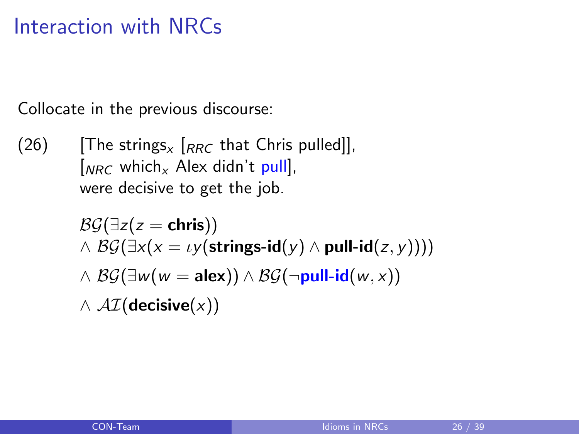## Interaction with NRCs

Collocate in the previous discourse:

(26) [The strings<sub>x</sub>  $\left[RRC \text{ that Chris pulled}\right]$ ],  $[NRC$  which<sub>x</sub> Alex didn't pull], were decisive to get the job.

$$
\mathcal{B}\mathcal{G}(\exists z(z = \text{chris}))
$$
\n
$$
\land \mathcal{B}\mathcal{G}(\exists x(x = \iota y(\text{strings-id}(y) \land \text{pull-id}(z, y))))
$$
\n
$$
\land \mathcal{B}\mathcal{G}(\exists w(w = \text{alex})) \land \mathcal{B}\mathcal{G}(\neg \text{pull-id}(w, x))
$$
\n
$$
\land \mathcal{AI}(\text{decisive}(x))
$$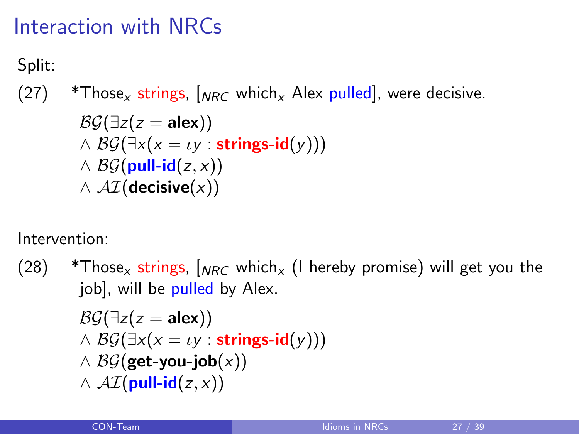# Interaction with NRCs

Split:

(27) \*Those<sub>x</sub> strings,  $\int_{NRC}$  which<sub>x</sub> Alex pulled, were decisive.

$$
\mathcal{B}\mathcal{G}(\exists z(z = \mathbf{a}\mathbf{lex})) \land \mathcal{B}\mathcal{G}(\exists x(x = \iota y : \mathbf{strings-id}(y))) \land \mathcal{B}\mathcal{G}(\mathbf{pull-id}(z, x)) \land \mathcal{AI}(\mathbf{decisive}(x))
$$

Intervention:

 $(28)$  \*Those<sub>x</sub> strings,  $\int_{NRC}$  which<sub>x</sub> (I hereby promise) will get you the job], will be pulled by Alex.  $\mathcal{B}\mathcal{G}(\exists z(z = \mathsf{alex}))$  $\wedge$  BG( $\exists x(x = \iota y : \text{strings-id}(y))$ )  $\wedge$  BG(get-you-job(x))  $\wedge$  AI(pull-id(z, x))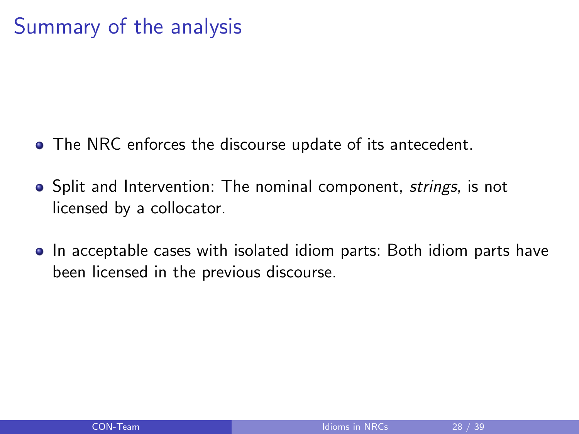# Summary of the analysis

- The NRC enforces the discourse update of its antecedent.
- Split and Intervention: The nominal component, strings, is not licensed by a collocator.
- In acceptable cases with isolated idiom parts: Both idiom parts have been licensed in the previous discourse.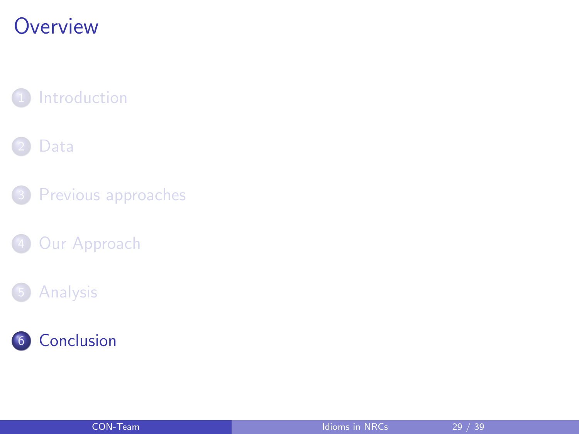# <span id="page-28-0"></span>**Overview**

**[Introduction](#page-1-0)** 

#### [Data](#page-4-0)

3 [Previous approaches](#page-10-0)

4 [Our Approach](#page-16-0)

#### **[Analysis](#page-20-0)**



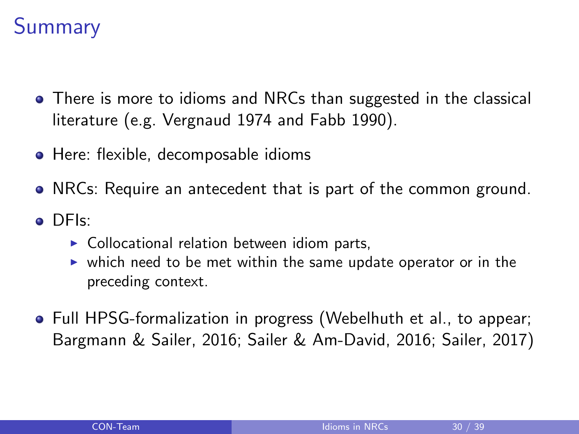# **Summary**

- There is more to idioms and NRCs than suggested in the classical literature (e.g. Vergnaud 1974 and Fabb 1990).
- Here: flexible, decomposable idioms
- NRCs: Require an antecedent that is part of the common ground.
- DFIs:
	- $\triangleright$  Collocational relation between idiom parts,
	- $\triangleright$  which need to be met within the same update operator or in the preceding context.
- Full HPSG-formalization in progress (Webelhuth et al., to appear; Bargmann & Sailer, 2016; Sailer & Am-David, 2016; Sailer, 2017)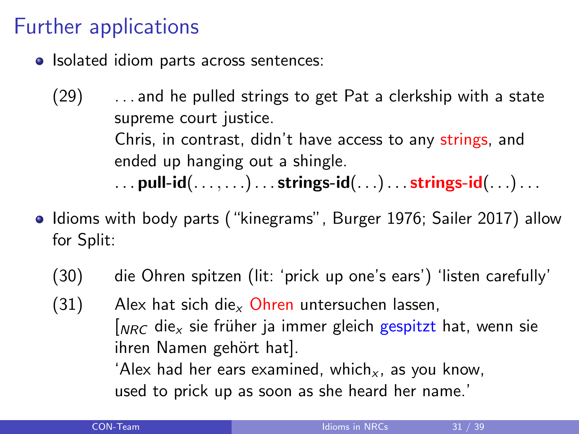# Further applications

- Isolated idiom parts across sentences:
	- (29) . . . and he pulled strings to get Pat a clerkship with a state supreme court justice. Chris, in contrast, didn't have access to any strings, and ended up hanging out a shingle. ... pull-id $(\ldots, \ldots)$ ... strings-id $(\ldots)$ ... strings-id $(\ldots)$ ...
- Idioms with body parts ("kinegrams", Burger 1976; Sailer 2017) allow for Split:
	- (30) die Ohren spitzen (lit: 'prick up one's ears') 'listen carefully'
	- $(31)$  Alex hat sich die<sub>x</sub> Ohren untersuchen lassen,  $\int_{NRC}$  die<sub>x</sub> sie früher ja immer gleich gespitzt hat, wenn sie ihren Namen gehört hat]. 'Alex had her ears examined, which<sub>x</sub>, as you know, used to prick up as soon as she heard her name.'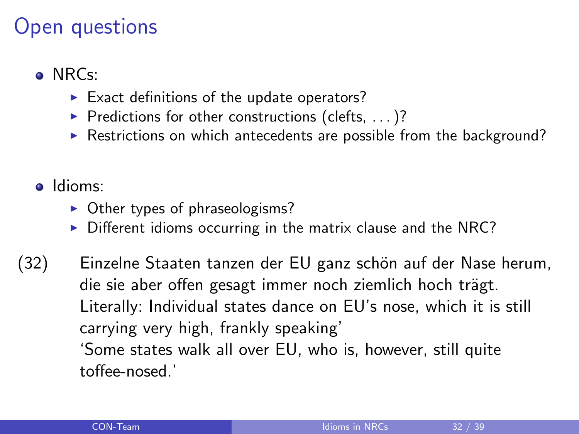#### Open questions

#### o NRCs:

- $\blacktriangleright$  Exact definitions of the update operators?
- Predictions for other constructions (clefts,  $\ldots$ )?
- $\triangleright$  Restrictions on which antecedents are possible from the background?
- o Idioms:
	- $\triangleright$  Other types of phraseologisms?
	- $\triangleright$  Different idioms occurring in the matrix clause and the NRC?
- (32) Einzelne Staaten tanzen der EU ganz schön auf der Nase herum, die sie aber offen gesagt immer noch ziemlich hoch trägt. Literally: Individual states dance on EU's nose, which it is still carrying very high, frankly speaking' 'Some states walk all over EU, who is, however, still quite toffee-nosed.'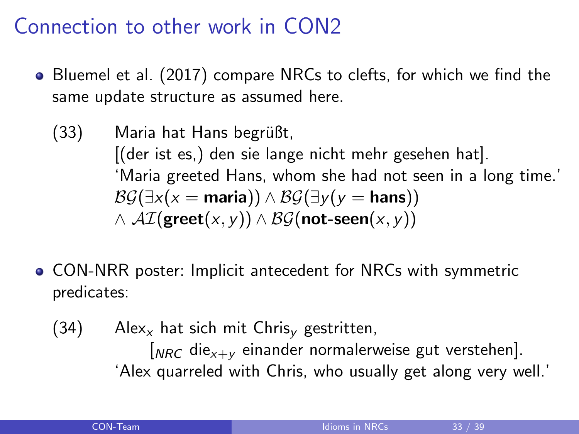#### Connection to other work in CON2

- Bluemel et al. (2017) compare NRCs to clefts, for which we find the same update structure as assumed here.
	- $(33)$  Maria hat Hans begrüßt, [(der ist es,) den sie lange nicht mehr gesehen hat]. 'Maria greeted Hans, whom she had not seen in a long time.'  $\mathcal{B}\mathcal{G}(\exists x(x = \text{maria})) \wedge \mathcal{B}\mathcal{G}(\exists y(y = \text{hans}))$  $\wedge$  AI(greet(x, y))  $\wedge$  BG(not-seen(x, y))
- CON-NRR poster: Implicit antecedent for NRCs with symmetric predicates:
	- (34) Alex<sub>x</sub> hat sich mit Chris<sub>v</sub> gestritten,  $N_{R,C}$  die<sub>x+v</sub> einander normalerweise gut verstehen]. 'Alex quarreled with Chris, who usually get along very well.'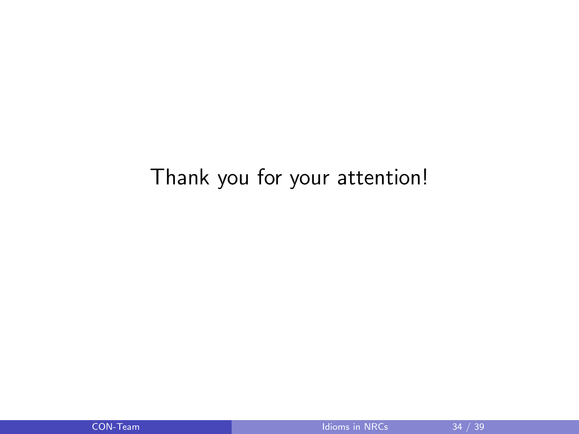## Thank you for your attention!

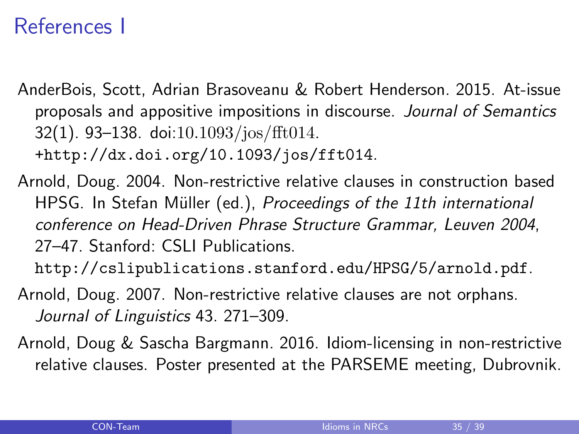## References I

AnderBois, Scott, Adrian Brasoveanu & Robert Henderson. 2015. At-issue proposals and appositive impositions in discourse. Journal of Semantics  $32(1)$ . 93–138. doi:10.1093/jos/fft014. [+http://dx.doi.org/10.1093/jos/fft014](+ http://dx.doi.org/10.1093/jos/fft014).

Arnold, Doug. 2004. Non-restrictive relative clauses in construction based HPSG. In Stefan Müller (ed.), Proceedings of the 11th international conference on Head-Driven Phrase Structure Grammar, Leuven 2004, 27–47. Stanford: CSLI Publications.

<http://cslipublications.stanford.edu/HPSG/5/arnold.pdf>.

- Arnold, Doug. 2007. Non-restrictive relative clauses are not orphans. Journal of Linguistics 43. 271–309.
- Arnold, Doug & Sascha Bargmann. 2016. Idiom-licensing in non-restrictive relative clauses. Poster presented at the PARSEME meeting, Dubrovnik.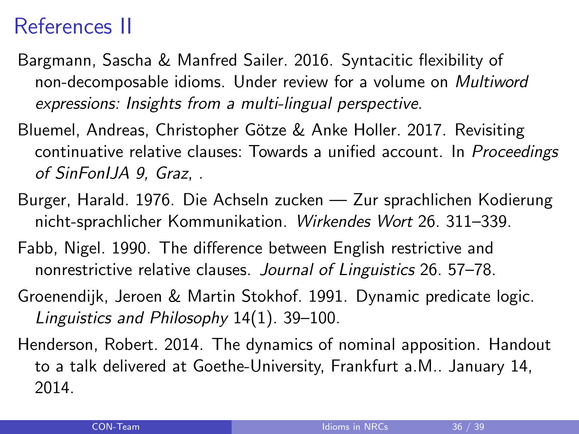#### References II

- Bargmann, Sascha & Manfred Sailer. 2016. Syntacitic flexibility of non-decomposable idioms. Under review for a volume on Multiword expressions: Insights from a multi-lingual perspective.
- Bluemel, Andreas, Christopher Götze & Anke Holler. 2017. Revisiting continuative relative clauses: Towards a unified account. In Proceedings of SinFonIJA 9, Graz, .
- Burger, Harald. 1976. Die Achseln zucken Zur sprachlichen Kodierung nicht-sprachlicher Kommunikation. Wirkendes Wort 26. 311–339.
- Fabb, Nigel. 1990. The difference between English restrictive and nonrestrictive relative clauses. Journal of Linguistics 26. 57–78.
- Groenendijk, Jeroen & Martin Stokhof. 1991. Dynamic predicate logic. Linguistics and Philosophy 14(1). 39–100.
- Henderson, Robert. 2014. The dynamics of nominal apposition. Handout to a talk delivered at Goethe-University, Frankfurt a.M.. January 14, 2014.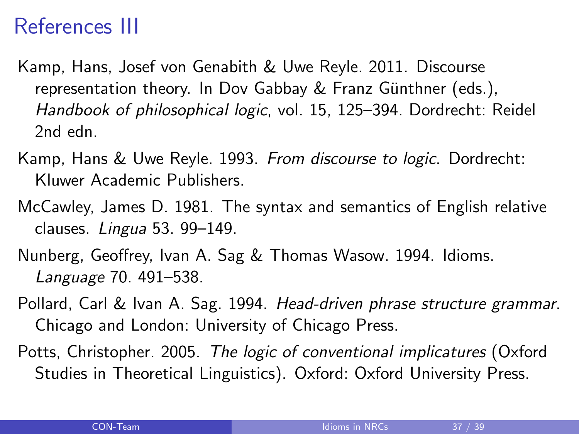## References III

- Kamp, Hans, Josef von Genabith & Uwe Reyle. 2011. Discourse representation theory. In Dov Gabbay  $&$  Franz Günthner (eds.), Handbook of philosophical logic, vol. 15, 125–394. Dordrecht: Reidel 2nd edn.
- Kamp, Hans & Uwe Reyle. 1993. From discourse to logic. Dordrecht: Kluwer Academic Publishers.
- McCawley, James D. 1981. The syntax and semantics of English relative clauses. Lingua 53. 99–149.
- Nunberg, Geoffrey, Ivan A. Sag & Thomas Wasow. 1994. Idioms. Language 70. 491–538.
- Pollard, Carl & Ivan A. Sag. 1994. Head-driven phrase structure grammar. Chicago and London: University of Chicago Press.
- Potts, Christopher. 2005. The logic of conventional implicatures (Oxford Studies in Theoretical Linguistics). Oxford: Oxford University Press.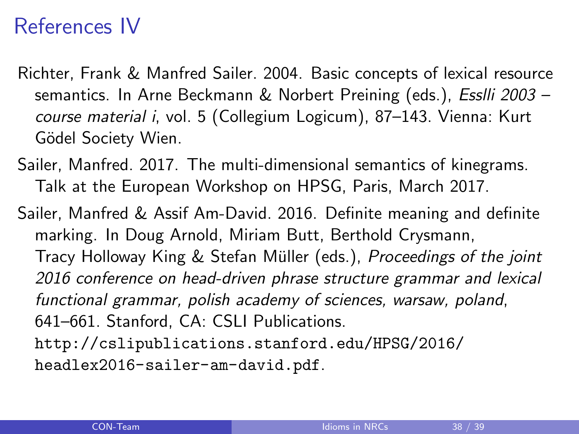## References IV

- Richter, Frank & Manfred Sailer. 2004. Basic concepts of lexical resource semantics. In Arne Beckmann & Norbert Preining (eds.), Esslli 2003 course material i, vol. 5 (Collegium Logicum), 87–143. Vienna: Kurt Gödel Society Wien.
- Sailer, Manfred. 2017. The multi-dimensional semantics of kinegrams. Talk at the European Workshop on HPSG, Paris, March 2017.
- Sailer, Manfred & Assif Am-David. 2016. Definite meaning and definite marking. In Doug Arnold, Miriam Butt, Berthold Crysmann, Tracy Holloway King & Stefan Müller (eds.), Proceedings of the joint 2016 conference on head-driven phrase structure grammar and lexical functional grammar, polish academy of sciences, warsaw, poland, 641–661. Stanford, CA: CSLI Publications.
	- [http://cslipublications.stanford.edu/HPSG/2016/](http://cslipublications.stanford.edu/HPSG/2016/headlex2016-sailer-am-david.pdf) [headlex2016-sailer-am-david.pdf](http://cslipublications.stanford.edu/HPSG/2016/headlex2016-sailer-am-david.pdf).